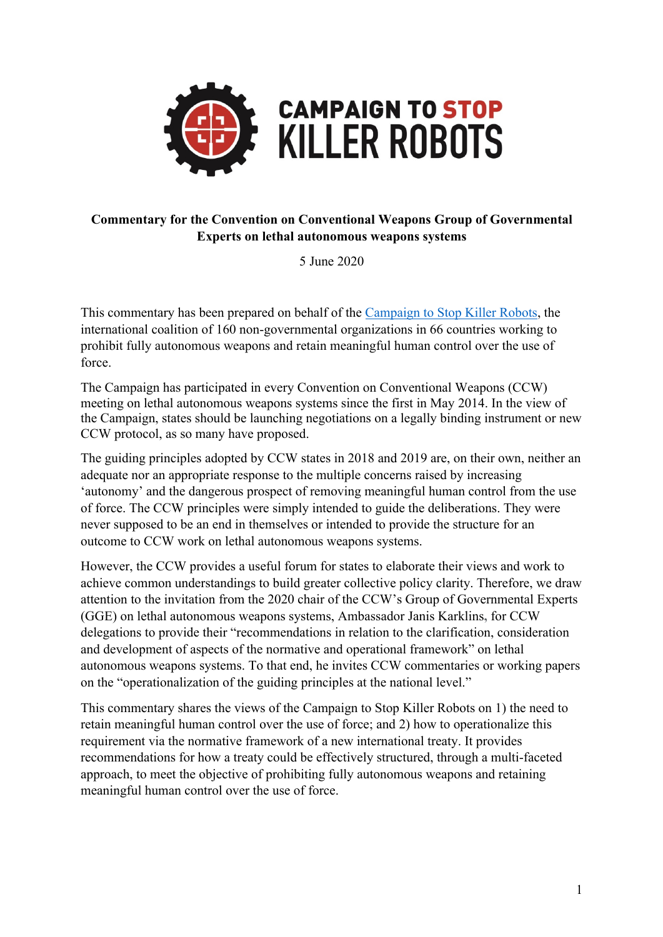

#### **Commentary for the Convention on Conventional Weapons Group of Governmental Experts on lethal autonomous weapons systems**

5 June 2020

This commentary has been prepared on behalf of the Campaign to Stop Killer Robots, the international coalition of 160 non-governmental organizations in 66 countries working to prohibit fully autonomous weapons and retain meaningful human control over the use of force.

The Campaign has participated in every Convention on Conventional Weapons (CCW) meeting on lethal autonomous weapons systems since the first in May 2014. In the view of the Campaign, states should be launching negotiations on a legally binding instrument or new CCW protocol, as so many have proposed.

The guiding principles adopted by CCW states in 2018 and 2019 are, on their own, neither an adequate nor an appropriate response to the multiple concerns raised by increasing 'autonomy' and the dangerous prospect of removing meaningful human control from the use of force. The CCW principles were simply intended to guide the deliberations. They were never supposed to be an end in themselves or intended to provide the structure for an outcome to CCW work on lethal autonomous weapons systems.

However, the CCW provides a useful forum for states to elaborate their views and work to achieve common understandings to build greater collective policy clarity. Therefore, we draw attention to the invitation from the 2020 chair of the CCW's Group of Governmental Experts (GGE) on lethal autonomous weapons systems, Ambassador Janis Karklins**,** for CCW delegations to provide their "recommendations in relation to the clarification, consideration and development of aspects of the normative and operational framework" on lethal autonomous weapons systems. To that end, he invites CCW commentaries or working papers on the "operationalization of the guiding principles at the national level."

This commentary shares the views of the Campaign to Stop Killer Robots on 1) the need to retain meaningful human control over the use of force; and 2) how to operationalize this requirement via the normative framework of a new international treaty. It provides recommendations for how a treaty could be effectively structured, through a multi-faceted approach, to meet the objective of prohibiting fully autonomous weapons and retaining meaningful human control over the use of force.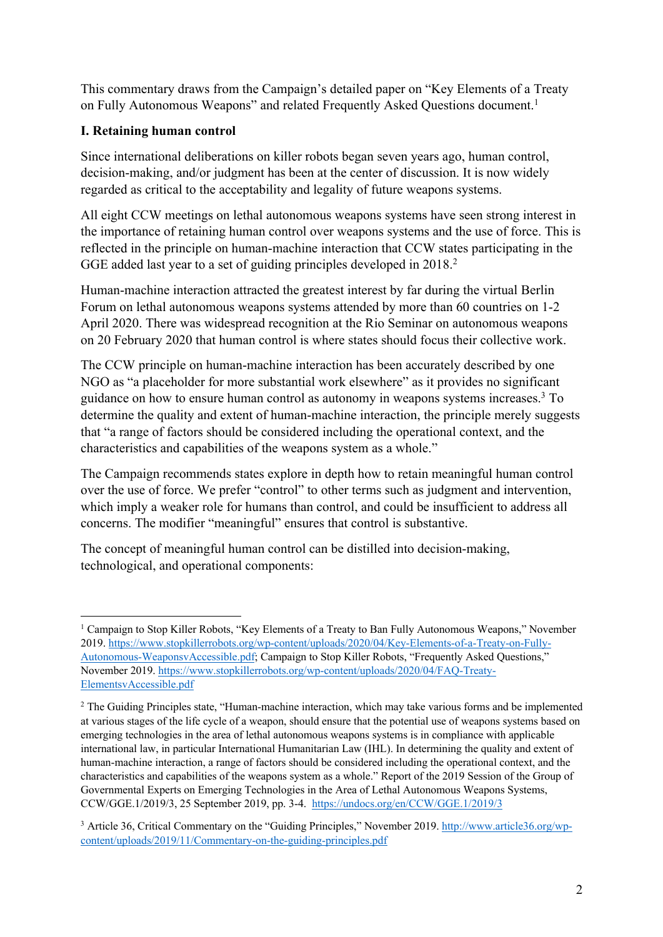This commentary draws from the Campaign's detailed paper on "Key Elements of a Treaty on Fully Autonomous Weapons" and related Frequently Asked Questions document.<sup>1</sup>

#### **I. Retaining human control**

Since international deliberations on killer robots began seven years ago, human control, decision-making, and/or judgment has been at the center of discussion. It is now widely regarded as critical to the acceptability and legality of future weapons systems.

All eight CCW meetings on lethal autonomous weapons systems have seen strong interest in the importance of retaining human control over weapons systems and the use of force. This is reflected in the principle on human-machine interaction that CCW states participating in the GGE added last year to a set of guiding principles developed in 2018.<sup>2</sup>

Human-machine interaction attracted the greatest interest by far during the virtual Berlin Forum on lethal autonomous weapons systems attended by more than 60 countries on 1-2 April 2020. There was widespread recognition at the Rio Seminar on autonomous weapons on 20 February 2020 that human control is where states should focus their collective work.

The CCW principle on human-machine interaction has been accurately described by one NGO as "a placeholder for more substantial work elsewhere" as it provides no significant guidance on how to ensure human control as autonomy in weapons systems increases.3 To determine the quality and extent of human-machine interaction, the principle merely suggests that "a range of factors should be considered including the operational context, and the characteristics and capabilities of the weapons system as a whole."

The Campaign recommends states explore in depth how to retain meaningful human control over the use of force. We prefer "control" to other terms such as judgment and intervention, which imply a weaker role for humans than control, and could be insufficient to address all concerns. The modifier "meaningful" ensures that control is substantive.

The concept of meaningful human control can be distilled into decision-making, technological, and operational components:

<sup>&</sup>lt;sup>1</sup> Campaign to Stop Killer Robots, "Key Elements of a Treaty to Ban Fully Autonomous Weapons," November 2019. https://www.stopkillerrobots.org/wp-content/uploads/2020/04/Key-Elements-of-a-Treaty-on-Fully-Autonomous-WeaponsvAccessible.pdf; Campaign to Stop Killer Robots, "Frequently Asked Questions," November 2019. https://www.stopkillerrobots.org/wp-content/uploads/2020/04/FAQ-Treaty-ElementsvAccessible.pdf

<sup>&</sup>lt;sup>2</sup> The Guiding Principles state, "Human-machine interaction, which may take various forms and be implemented at various stages of the life cycle of a weapon, should ensure that the potential use of weapons systems based on emerging technologies in the area of lethal autonomous weapons systems is in compliance with applicable international law, in particular International Humanitarian Law (IHL). In determining the quality and extent of human-machine interaction, a range of factors should be considered including the operational context, and the characteristics and capabilities of the weapons system as a whole." Report of the 2019 Session of the Group of Governmental Experts on Emerging Technologies in the Area of Lethal Autonomous Weapons Systems, CCW/GGE.1/2019/3, 25 September 2019, pp. 3-4. https://undocs.org/en/CCW/GGE.1/2019/3

<sup>&</sup>lt;sup>3</sup> Article 36, Critical Commentary on the "Guiding Principles," November 2019. http://www.article36.org/wpcontent/uploads/2019/11/Commentary-on-the-guiding-principles.pdf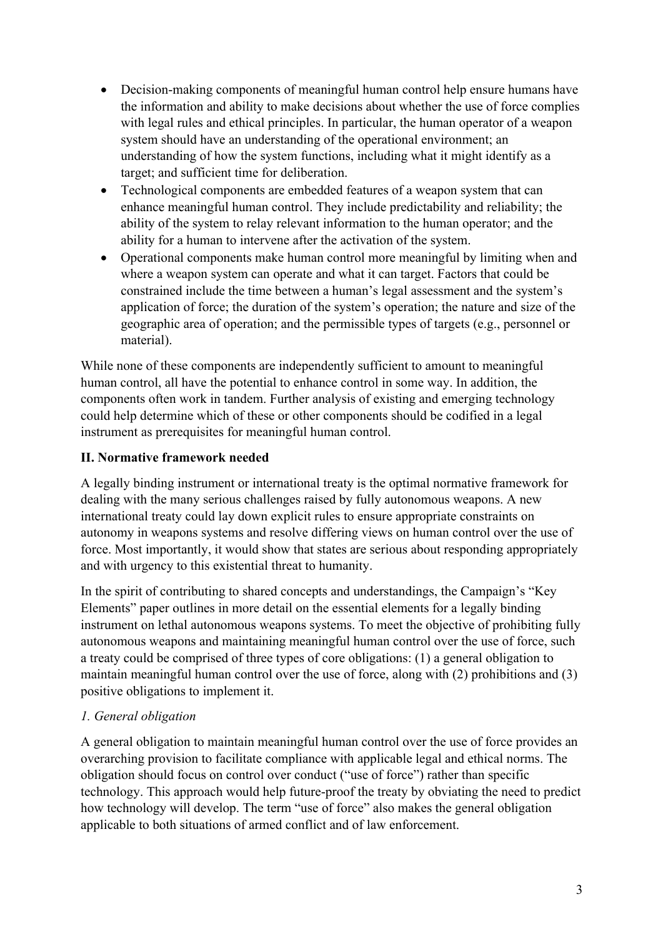- Decision-making components of meaningful human control help ensure humans have the information and ability to make decisions about whether the use of force complies with legal rules and ethical principles. In particular, the human operator of a weapon system should have an understanding of the operational environment; an understanding of how the system functions, including what it might identify as a target; and sufficient time for deliberation.
- Technological components are embedded features of a weapon system that can enhance meaningful human control. They include predictability and reliability; the ability of the system to relay relevant information to the human operator; and the ability for a human to intervene after the activation of the system.
- Operational components make human control more meaningful by limiting when and where a weapon system can operate and what it can target. Factors that could be constrained include the time between a human's legal assessment and the system's application of force; the duration of the system's operation; the nature and size of the geographic area of operation; and the permissible types of targets (e.g., personnel or material).

While none of these components are independently sufficient to amount to meaningful human control, all have the potential to enhance control in some way. In addition, the components often work in tandem. Further analysis of existing and emerging technology could help determine which of these or other components should be codified in a legal instrument as prerequisites for meaningful human control.

# **II. Normative framework needed**

A legally binding instrument or international treaty is the optimal normative framework for dealing with the many serious challenges raised by fully autonomous weapons. A new international treaty could lay down explicit rules to ensure appropriate constraints on autonomy in weapons systems and resolve differing views on human control over the use of force. Most importantly, it would show that states are serious about responding appropriately and with urgency to this existential threat to humanity.

In the spirit of contributing to shared concepts and understandings, the Campaign's "Key Elements" paper outlines in more detail on the essential elements for a legally binding instrument on lethal autonomous weapons systems. To meet the objective of prohibiting fully autonomous weapons and maintaining meaningful human control over the use of force, such a treaty could be comprised of three types of core obligations: (1) a general obligation to maintain meaningful human control over the use of force, along with (2) prohibitions and (3) positive obligations to implement it.

### *1. General obligation*

A general obligation to maintain meaningful human control over the use of force provides an overarching provision to facilitate compliance with applicable legal and ethical norms. The obligation should focus on control over conduct ("use of force") rather than specific technology. This approach would help future-proof the treaty by obviating the need to predict how technology will develop. The term "use of force" also makes the general obligation applicable to both situations of armed conflict and of law enforcement.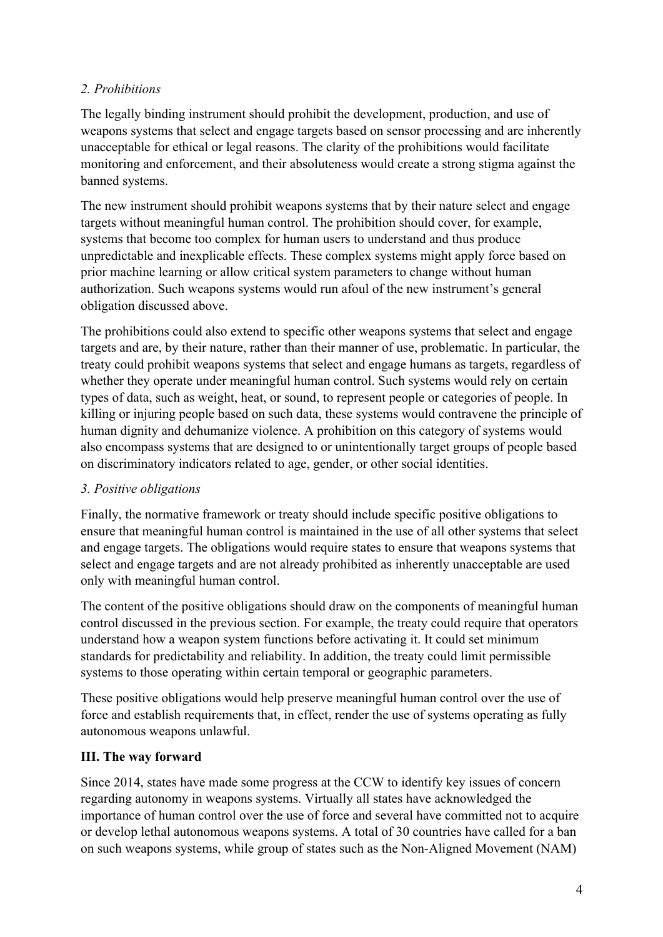## *2. Prohibitions*

The legally binding instrument should prohibit the development, production, and use of weapons systems that select and engage targets based on sensor processing and are inherently unacceptable for ethical or legal reasons. The clarity of the prohibitions would facilitate monitoring and enforcement, and their absoluteness would create a strong stigma against the banned systems.

The new instrument should prohibit weapons systems that by their nature select and engage targets without meaningful human control. The prohibition should cover, for example, systems that become too complex for human users to understand and thus produce unpredictable and inexplicable effects. These complex systems might apply force based on prior machine learning or allow critical system parameters to change without human authorization. Such weapons systems would run afoul of the new instrument's general obligation discussed above.

The prohibitions could also extend to specific other weapons systems that select and engage targets and are, by their nature, rather than their manner of use, problematic. In particular, the treaty could prohibit weapons systems that select and engage humans as targets, regardless of whether they operate under meaningful human control. Such systems would rely on certain types of data, such as weight, heat, or sound, to represent people or categories of people. In killing or injuring people based on such data, these systems would contravene the principle of human dignity and dehumanize violence. A prohibition on this category of systems would also encompass systems that are designed to or unintentionally target groups of people based on discriminatory indicators related to age, gender, or other social identities.

### *3. Positive obligations*

Finally, the normative framework or treaty should include specific positive obligations to ensure that meaningful human control is maintained in the use of all other systems that select and engage targets. The obligations would require states to ensure that weapons systems that select and engage targets and are not already prohibited as inherently unacceptable are used only with meaningful human control.

The content of the positive obligations should draw on the components of meaningful human control discussed in the previous section. For example, the treaty could require that operators understand how a weapon system functions before activating it. It could set minimum standards for predictability and reliability. In addition, the treaty could limit permissible systems to those operating within certain temporal or geographic parameters.

These positive obligations would help preserve meaningful human control over the use of force and establish requirements that, in effect, render the use of systems operating as fully autonomous weapons unlawful.

### **III. The way forward**

Since 2014, states have made some progress at the CCW to identify key issues of concern regarding autonomy in weapons systems. Virtually all states have acknowledged the importance of human control over the use of force and several have committed not to acquire or develop lethal autonomous weapons systems. A total of 30 countries have called for a ban on such weapons systems, while group of states such as the Non-Aligned Movement (NAM)